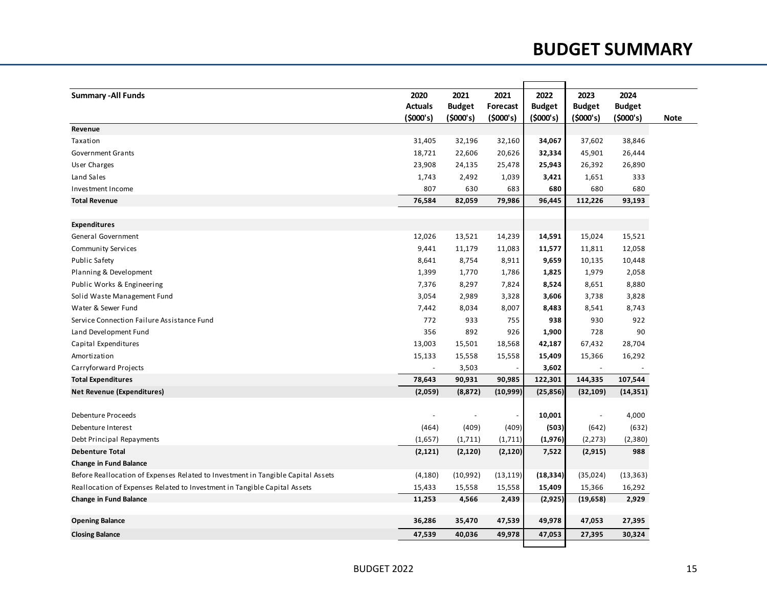## **BUDGET SUMMARY**

| <b>Summary - All Funds</b>                                                       | 2020           | 2021          | 2021            | 2022          | 2023                     | 2024          |      |
|----------------------------------------------------------------------------------|----------------|---------------|-----------------|---------------|--------------------------|---------------|------|
|                                                                                  | <b>Actuals</b> | <b>Budget</b> | <b>Forecast</b> | <b>Budget</b> | <b>Budget</b>            | <b>Budget</b> |      |
|                                                                                  | (5000's)       | (\$000's)     | (5000's)        | (5000's)      | (5000's)                 | (5000's)      | Note |
| Revenue                                                                          |                |               |                 |               |                          |               |      |
| Taxation                                                                         | 31,405         | 32,196        | 32,160          | 34,067        | 37,602                   | 38,846        |      |
| <b>Government Grants</b>                                                         | 18,721         | 22,606        | 20,626          | 32,334        | 45,901                   | 26,444        |      |
| User Charges                                                                     | 23,908         | 24,135        | 25,478          | 25,943        | 26,392                   | 26,890        |      |
| Land Sales                                                                       | 1,743          | 2,492         | 1,039           | 3,421         | 1,651                    | 333           |      |
| Investment Income                                                                | 807            | 630           | 683             | 680           | 680                      | 680           |      |
| <b>Total Revenue</b>                                                             | 76,584         | 82,059        | 79,986          | 96,445        | 112,226                  | 93,193        |      |
|                                                                                  |                |               |                 |               |                          |               |      |
| <b>Expenditures</b>                                                              |                |               |                 |               |                          |               |      |
| General Government                                                               | 12,026         | 13,521        | 14,239          | 14,591        | 15,024                   | 15,521        |      |
| <b>Community Services</b>                                                        | 9,441          | 11,179        | 11,083          | 11,577        | 11,811                   | 12,058        |      |
| <b>Public Safety</b>                                                             | 8,641          | 8,754         | 8,911           | 9,659         | 10,135                   | 10,448        |      |
| Planning & Development                                                           | 1,399          | 1,770         | 1,786           | 1,825         | 1,979                    | 2,058         |      |
| Public Works & Engineering                                                       | 7,376          | 8,297         | 7,824           | 8,524         | 8,651                    | 8,880         |      |
| Solid Waste Management Fund                                                      | 3,054          | 2,989         | 3,328           | 3,606         | 3,738                    | 3,828         |      |
| Water & Sewer Fund                                                               | 7,442          | 8,034         | 8,007           | 8,483         | 8,541                    | 8,743         |      |
| Service Connection Failure Assistance Fund                                       | 772            | 933           | 755             | 938           | 930                      | 922           |      |
| Land Development Fund                                                            | 356            | 892           | 926             | 1,900         | 728                      | 90            |      |
| Capital Expenditures                                                             | 13,003         | 15,501        | 18,568          | 42,187        | 67,432                   | 28,704        |      |
| Amortization                                                                     | 15,133         | 15,558        | 15,558          | 15,409        | 15,366                   | 16,292        |      |
| Carryforward Projects                                                            | $\blacksquare$ | 3,503         |                 | 3,602         | $\sim$                   |               |      |
| <b>Total Expenditures</b>                                                        | 78,643         | 90,931        | 90,985          | 122,301       | 144,335                  | 107,544       |      |
| <b>Net Revenue (Expenditures)</b>                                                | (2,059)        | (8, 872)      | (10, 999)       | (25, 856)     | (32, 109)                | (14, 351)     |      |
|                                                                                  |                |               |                 |               |                          |               |      |
| <b>Debenture Proceeds</b>                                                        | $\blacksquare$ | L,            |                 | 10,001        | $\overline{\phantom{a}}$ | 4,000         |      |
| Debenture Interest                                                               | (464)          | (409)         | (409)           | (503)         | (642)                    | (632)         |      |
| Debt Principal Repayments                                                        | (1,657)        | (1,711)       | (1,711)         | (1, 976)      | (2, 273)                 | (2,380)       |      |
| <b>Debenture Total</b>                                                           | (2, 121)       | (2, 120)      | (2, 120)        | 7,522         | (2, 915)                 | 988           |      |
| <b>Change in Fund Balance</b>                                                    |                |               |                 |               |                          |               |      |
| Before Reallocation of Expenses Related to Investment in Tangible Capital Assets | (4, 180)       | (10,992)      | (13, 119)       | (18, 334)     | (35,024)                 | (13, 363)     |      |
| Reallocation of Expenses Related to Investment in Tangible Capital Assets        | 15,433         | 15,558        | 15,558          | 15,409        | 15,366                   | 16,292        |      |
| <b>Change in Fund Balance</b>                                                    | 11,253         | 4,566         | 2,439           | (2, 925)      | (19, 658)                | 2,929         |      |
| <b>Opening Balance</b>                                                           | 36,286         | 35,470        | 47,539          | 49,978        | 47,053                   | 27,395        |      |
| <b>Closing Balance</b>                                                           | 47,539         | 40,036        | 49,978          | 47,053        | 27,395                   | 30,324        |      |
|                                                                                  |                |               |                 |               |                          |               |      |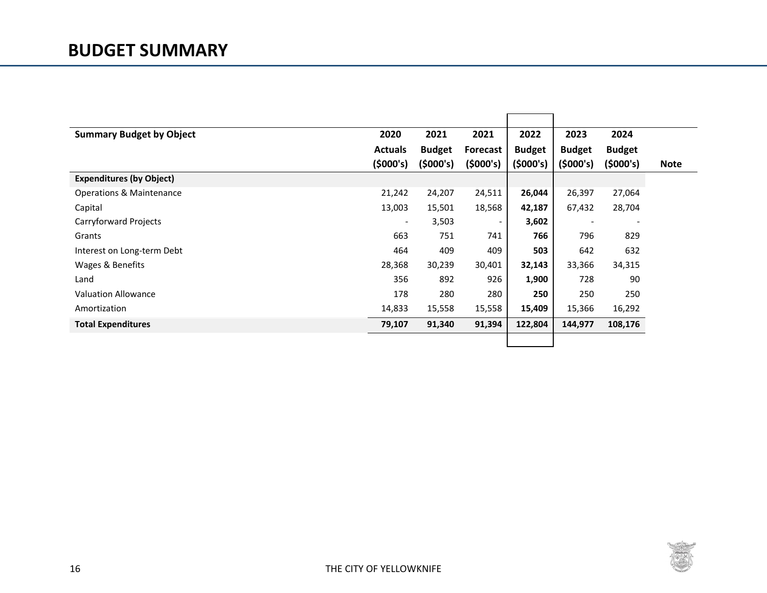| <b>Summary Budget by Object</b>     | 2020                     | 2021          | 2021                     | 2022          | 2023                     | 2024                     |             |
|-------------------------------------|--------------------------|---------------|--------------------------|---------------|--------------------------|--------------------------|-------------|
|                                     | <b>Actuals</b>           | <b>Budget</b> | <b>Forecast</b>          | <b>Budget</b> | <b>Budget</b>            | <b>Budget</b>            |             |
|                                     | (5000's)                 | (5000's)      | (5000's)                 | (5000's)      | (5000's)                 | (5000's)                 | <b>Note</b> |
| <b>Expenditures (by Object)</b>     |                          |               |                          |               |                          |                          |             |
| <b>Operations &amp; Maintenance</b> | 21,242                   | 24,207        | 24,511                   | 26,044        | 26,397                   | 27,064                   |             |
| Capital                             | 13,003                   | 15,501        | 18,568                   | 42,187        | 67,432                   | 28,704                   |             |
| Carryforward Projects               | $\overline{\phantom{a}}$ | 3,503         | $\overline{\phantom{a}}$ | 3,602         | $\overline{\phantom{a}}$ | $\overline{\phantom{a}}$ |             |
| Grants                              | 663                      | 751           | 741                      | 766           | 796                      | 829                      |             |
| Interest on Long-term Debt          | 464                      | 409           | 409                      | 503           | 642                      | 632                      |             |
| Wages & Benefits                    | 28,368                   | 30,239        | 30,401                   | 32,143        | 33,366                   | 34,315                   |             |
| Land                                | 356                      | 892           | 926                      | 1,900         | 728                      | 90                       |             |
| <b>Valuation Allowance</b>          | 178                      | 280           | 280                      | 250           | 250                      | 250                      |             |
| Amortization                        | 14,833                   | 15,558        | 15,558                   | 15,409        | 15,366                   | 16,292                   |             |
| <b>Total Expenditures</b>           | 79,107                   | 91,340        | 91,394                   | 122,804       | 144,977                  | 108,176                  |             |
|                                     |                          |               |                          |               |                          |                          |             |

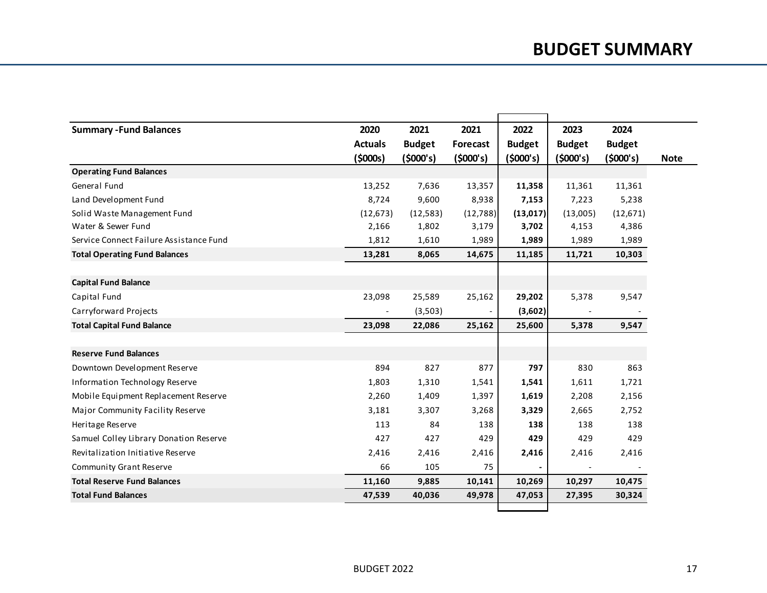| <b>Summary - Fund Balances</b>          | 2020           | 2021          | 2021     | 2022          | 2023          | 2024          |  |
|-----------------------------------------|----------------|---------------|----------|---------------|---------------|---------------|--|
|                                         | <b>Actuals</b> | <b>Budget</b> | Forecast | <b>Budget</b> | <b>Budget</b> | <b>Budget</b> |  |
|                                         | (5000s)        | (5000's)      | (5000's) | (5000's)      | (5000's)      | (5000's)      |  |
| <b>Operating Fund Balances</b>          |                |               |          |               |               |               |  |
| General Fund                            | 13,252         | 7,636         | 13,357   | 11,358        | 11,361        | 11,361        |  |
| Land Development Fund                   | 8,724          | 9,600         | 8,938    | 7,153         | 7,223         | 5,238         |  |
| Solid Waste Management Fund             | (12, 673)      | (12, 583)     | (12,788) | (13,017)      | (13,005)      | (12, 671)     |  |
| Water & Sewer Fund                      | 2,166          | 1,802         | 3,179    | 3,702         | 4,153         | 4,386         |  |
| Service Connect Failure Assistance Fund | 1,812          | 1,610         | 1,989    | 1,989         | 1,989         | 1,989         |  |
| <b>Total Operating Fund Balances</b>    | 13,281         | 8,065         | 14,675   | 11,185        | 11,721        | 10,303        |  |
|                                         |                |               |          |               |               |               |  |
| <b>Capital Fund Balance</b>             |                |               |          |               |               |               |  |
| Capital Fund                            | 23,098         | 25,589        | 25,162   | 29,202        | 5,378         | 9,547         |  |
| Carryforward Projects                   |                | (3,503)       |          | (3,602)       |               |               |  |
| <b>Total Capital Fund Balance</b>       | 23,098         | 22,086        | 25,162   | 25,600        | 5,378         | 9,547         |  |
|                                         |                |               |          |               |               |               |  |
| <b>Reserve Fund Balances</b>            |                |               |          |               |               |               |  |
| Downtown Development Reserve            | 894            | 827           | 877      | 797           | 830           | 863           |  |
| <b>Information Technology Reserve</b>   | 1,803          | 1,310         | 1,541    | 1,541         | 1,611         | 1,721         |  |
| Mobile Equipment Replacement Reserve    | 2,260          | 1,409         | 1,397    | 1,619         | 2,208         | 2,156         |  |
| Major Community Facility Reserve        | 3,181          | 3,307         | 3,268    | 3,329         | 2,665         | 2,752         |  |
| Heritage Reserve                        | 113            | 84            | 138      | 138           | 138           | 138           |  |
| Samuel Colley Library Donation Reserve  | 427            | 427           | 429      | 429           | 429           | 429           |  |
| Revitalization Initiative Reserve       | 2,416          | 2,416         | 2,416    | 2,416         | 2,416         | 2,416         |  |
| <b>Community Grant Reserve</b>          | 66             | 105           | 75       |               |               |               |  |
| <b>Total Reserve Fund Balances</b>      | 11,160         | 9,885         | 10,141   | 10,269        | 10,297        | 10,475        |  |
| <b>Total Fund Balances</b>              | 47,539         | 40,036        | 49,978   | 47,053        | 27,395        | 30,324        |  |
|                                         |                |               |          |               |               |               |  |